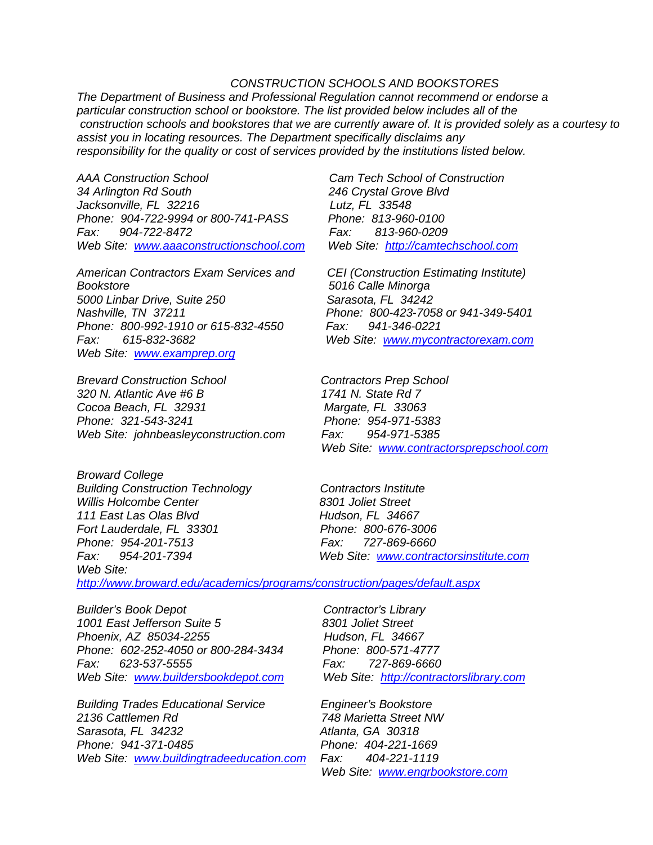## *CONSTRUCTION SCHOOLS AND BOOKSTORES*

*The Department of Business and Professional Regulation cannot recommend or endorse a particular construction school or bookstore. The list provided below includes all of the construction schools and bookstores that we are currently aware of. It is provided solely as a courtesy to assist you in locating resources. The Department specifically disclaims any responsibility for the quality or cost of services provided by the institutions listed below.*

*AAA Construction School Cam Tech School of Construction 34 Arlington Rd South 246 Crystal Grove Blvd Jacksonville, FL 32216 Lutz, FL 33548 Phone: 904-722-9994 or 800-741-PASS Fax: 904-722-8472 Fax: 813-960-0209 Web Site: [www.aaaconstructionschool.com](http://www.aaaconstructionschool.com/) Web Site: [http://camtechschool.com](http://camtechschool.com/)*

*American Contractors Exam Services and CEI (Construction Estimating Institute) Bookstore 5016 Calle Minorga* 5000 Linbar Drive, Suite 250 *Nashville, TN 37211 Phone: 800-423-7058 or 941-349-5401 Phone: 800-992-1910 or 615-832-4550 Fax: 941-346-0221 Fax: 615-832-3682 Web Site: [www.mycontractorexam.com](http://www.mycontractorexam.com/) Web Site: [www.examprep.org](http://www.examprep.org/)*

*Brevard Construction School Contractors Prep School 320 N. Atlantic Ave #6 B 1741 N. State Rd 7 Cocoa Beach, FL 32931 Margate, FL 33063 Phone: 321-543-3241 Web Site: johnbeasleyconstruction.com Fax: 954-971-5385*

*Broward College Building Construction Technology Contractors Institute Willis Holcombe Center 8301 Joliet Street 111 East Las Olas Blvd Fort Lauderdale, FL 33301 Phone: 800-676-3006 Phone: 954-201-7513 Fax: 727-869-6660 Fax: 954-201-7394 Web Site: [www.contractorsinstitute.com](http://www.contractorsinstitute.com/) Web Site: <http://www.broward.edu/academics/programs/construction/pages/default.aspx>*

*Builder's Book Depot Contractor's Library 1001 East Jefferson Suite 5 8301 Joliet Street Phoenix, AZ 85034-2255 Hudson, FL 34667 Phone: 602-252-4050 or 800-284-3434 Phone: 800-571-4777 Fax: 623-537-5555 Fax: 727-869-6660 Web Site: [www.buildersbookdepot.com](http://www.buildersbookdepot.com/) Web Site: [http://contractorslibrary.com](http://contractorslibrary.com/)*

*Building Trades Educational Service Engineer's Bookstore Sarasota, FL 34232 Atlanta, GA 30318 Phone: 941-371-0485 Phone: 404-221-1669 Web Site: [www.buildingtradeeducation.com](http://www.buildingtradeeducation.com/) Fax: 404-221-1119*

 *Web Site: [www.contractorsprepschool.com](http://www.contractorsprepschool.com/)*

*2136 Cattlemen Rd 748 Marietta Street NW Web Site: [www.engrbookstore.com](http://www.engrbookstore.com/)*